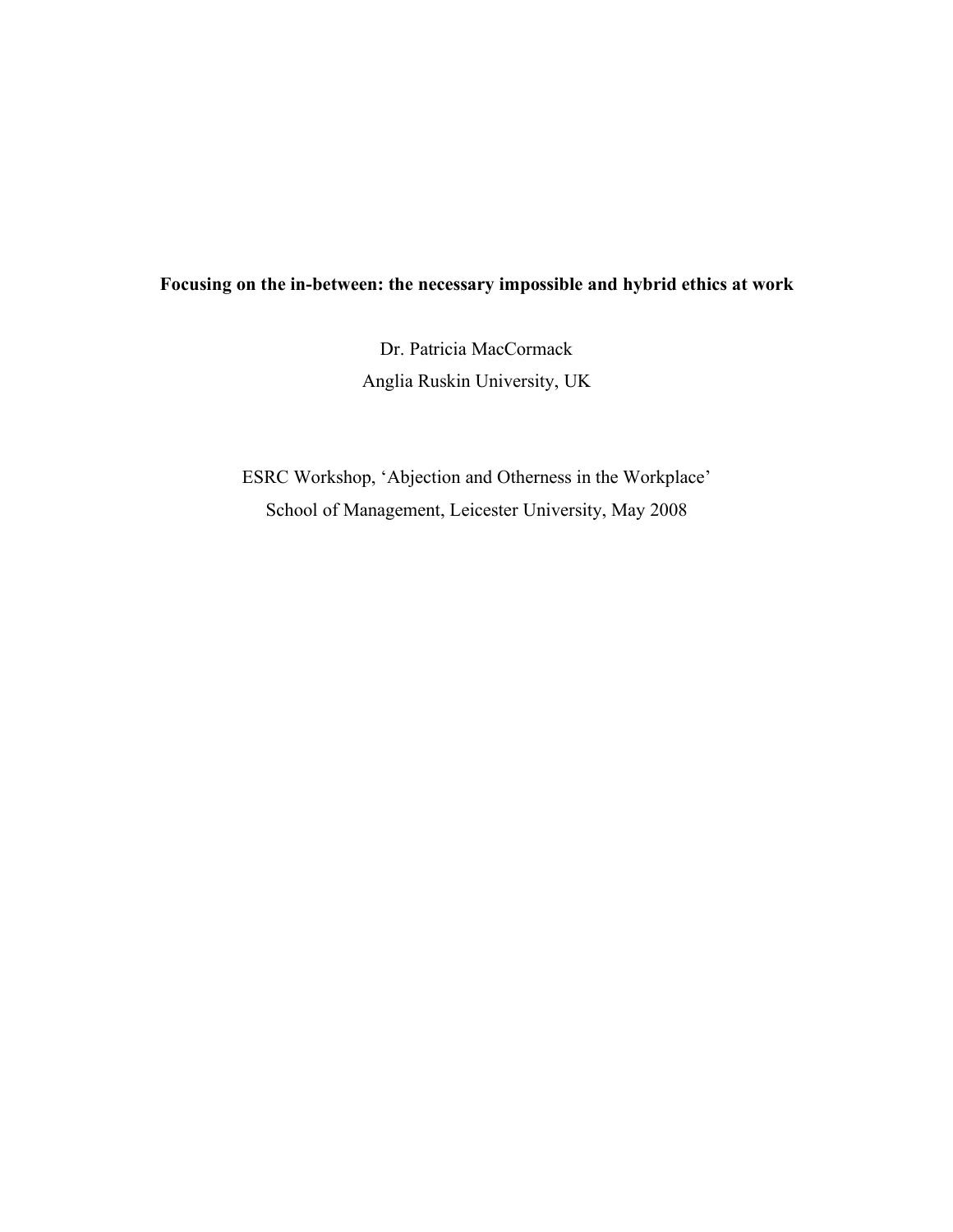## **Focusing on the in-between: the necessary impossible and hybrid ethics at work**

Dr. Patricia MacCormack Anglia Ruskin University, UK

ESRC Workshop, 'Abjection and Otherness in the Workplace' School of Management, Leicester University, May 2008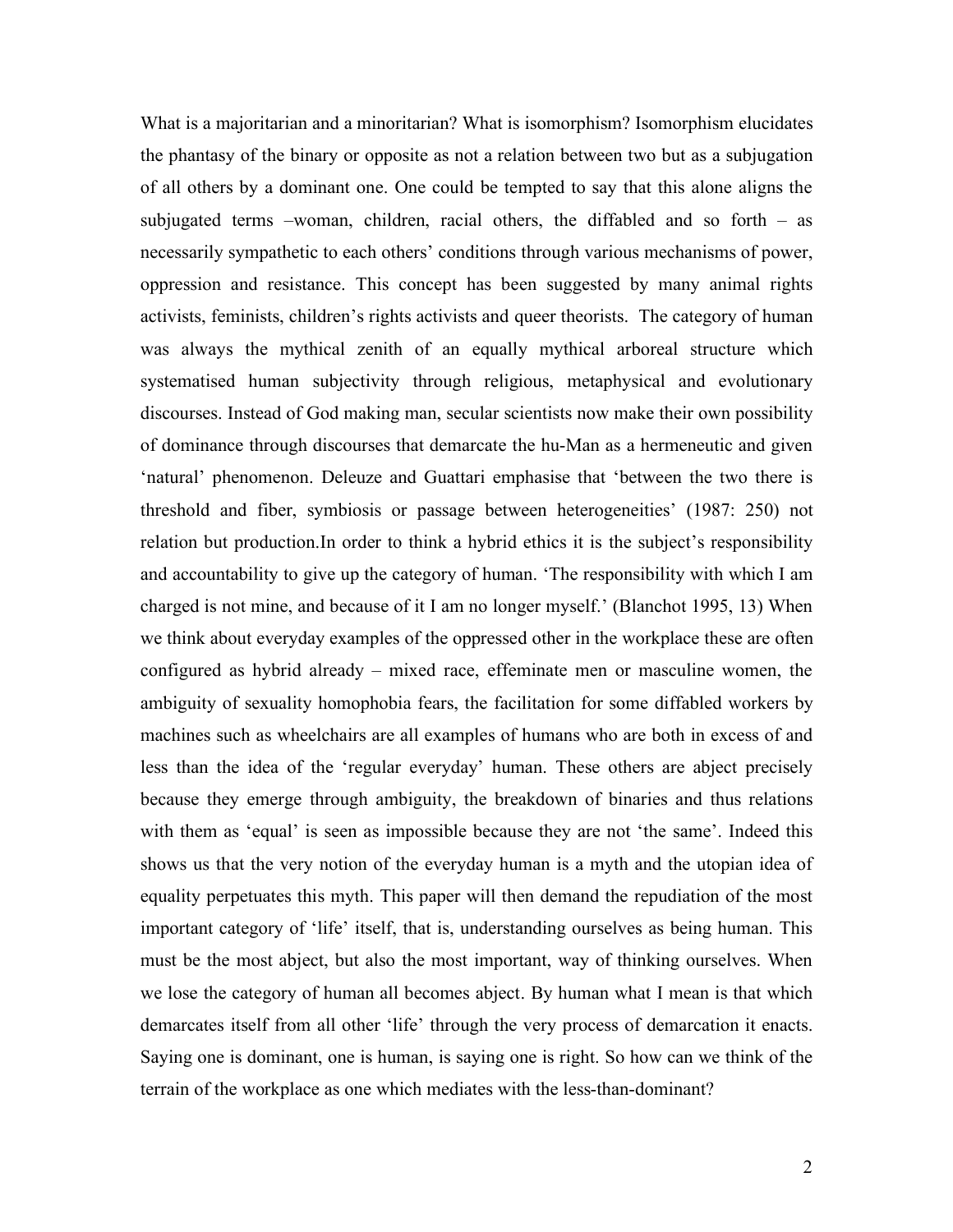What is a majoritarian and a minoritarian? What is isomorphism? Isomorphism elucidates the phantasy of the binary or opposite as not a relation between two but as a subjugation of all others by a dominant one. One could be tempted to say that this alone aligns the subjugated terms –woman, children, racial others, the diffabled and so forth – as necessarily sympathetic to each others' conditions through various mechanisms of power, oppression and resistance. This concept has been suggested by many animal rights activists, feminists, children's rights activists and queer theorists. The category of human was always the mythical zenith of an equally mythical arboreal structure which systematised human subjectivity through religious, metaphysical and evolutionary discourses. Instead of God making man, secular scientists now make their own possibility of dominance through discourses that demarcate the hu-Man as a hermeneutic and given 'natural' phenomenon. Deleuze and Guattari emphasise that 'between the two there is threshold and fiber, symbiosis or passage between heterogeneities' (1987: 250) not relation but production.In order to think a hybrid ethics it is the subject's responsibility and accountability to give up the category of human. 'The responsibility with which I am charged is not mine, and because of it I am no longer myself.' (Blanchot 1995, 13) When we think about everyday examples of the oppressed other in the workplace these are often configured as hybrid already – mixed race, effeminate men or masculine women, the ambiguity of sexuality homophobia fears, the facilitation for some diffabled workers by machines such as wheelchairs are all examples of humans who are both in excess of and less than the idea of the 'regular everyday' human. These others are abject precisely because they emerge through ambiguity, the breakdown of binaries and thus relations with them as 'equal' is seen as impossible because they are not 'the same'. Indeed this shows us that the very notion of the everyday human is a myth and the utopian idea of equality perpetuates this myth. This paper will then demand the repudiation of the most important category of 'life' itself, that is, understanding ourselves as being human. This must be the most abject, but also the most important, way of thinking ourselves. When we lose the category of human all becomes abject. By human what I mean is that which demarcates itself from all other 'life' through the very process of demarcation it enacts. Saying one is dominant, one is human, is saying one is right. So how can we think of the terrain of the workplace as one which mediates with the less-than-dominant?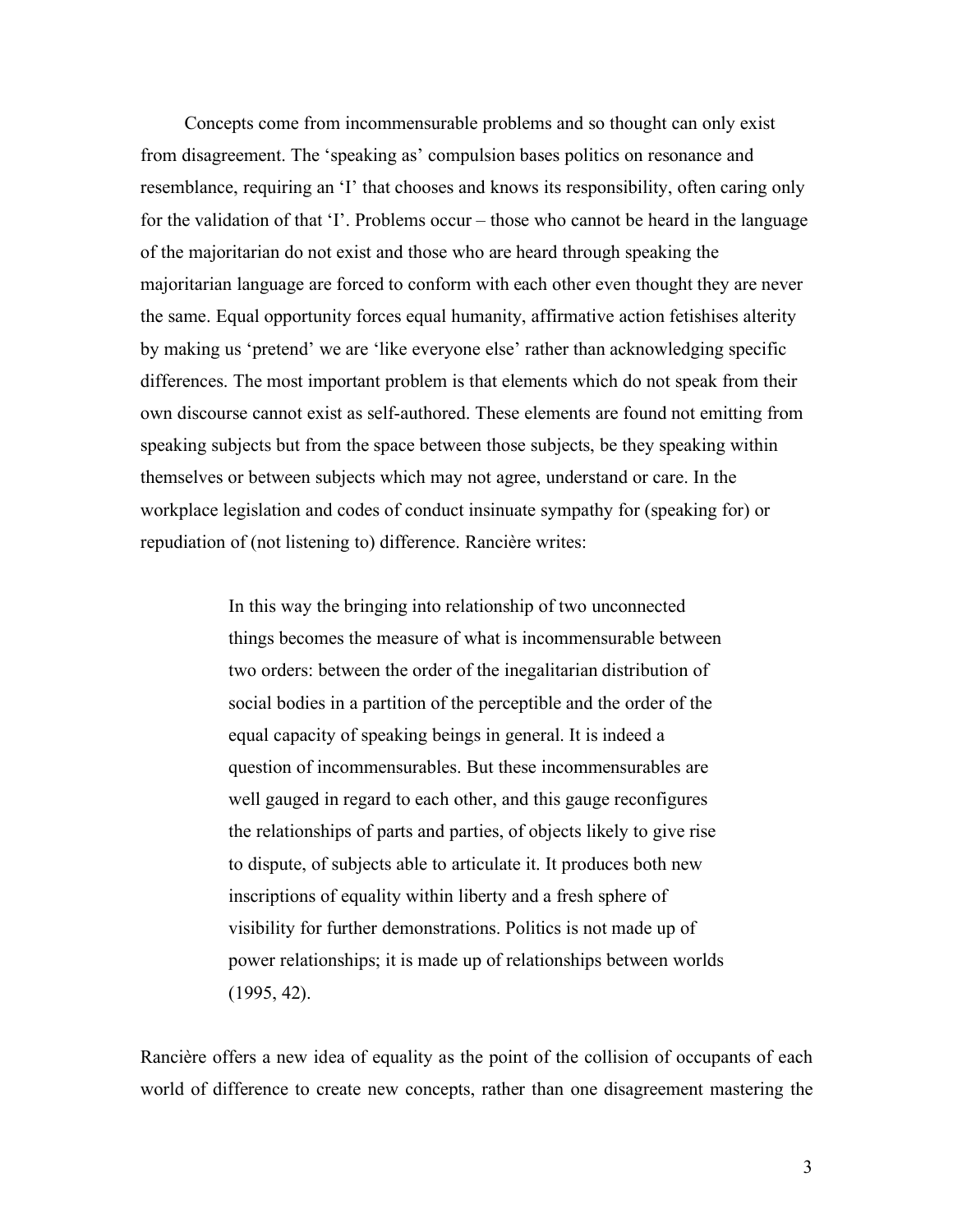Concepts come from incommensurable problems and so thought can only exist from disagreement. The 'speaking as' compulsion bases politics on resonance and resemblance, requiring an 'I' that chooses and knows its responsibility, often caring only for the validation of that 'I'. Problems occur – those who cannot be heard in the language of the majoritarian do not exist and those who are heard through speaking the majoritarian language are forced to conform with each other even thought they are never the same. Equal opportunity forces equal humanity, affirmative action fetishises alterity by making us 'pretend' we are 'like everyone else' rather than acknowledging specific differences. The most important problem is that elements which do not speak from their own discourse cannot exist as self-authored. These elements are found not emitting from speaking subjects but from the space between those subjects, be they speaking within themselves or between subjects which may not agree, understand or care. In the workplace legislation and codes of conduct insinuate sympathy for (speaking for) or repudiation of (not listening to) difference. Rancière writes:

> In this way the bringing into relationship of two unconnected things becomes the measure of what is incommensurable between two orders: between the order of the inegalitarian distribution of social bodies in a partition of the perceptible and the order of the equal capacity of speaking beings in general. It is indeed a question of incommensurables. But these incommensurables are well gauged in regard to each other, and this gauge reconfigures the relationships of parts and parties, of objects likely to give rise to dispute, of subjects able to articulate it. It produces both new inscriptions of equality within liberty and a fresh sphere of visibility for further demonstrations. Politics is not made up of power relationships; it is made up of relationships between worlds (1995, 42).

Rancière offers a new idea of equality as the point of the collision of occupants of each world of difference to create new concepts, rather than one disagreement mastering the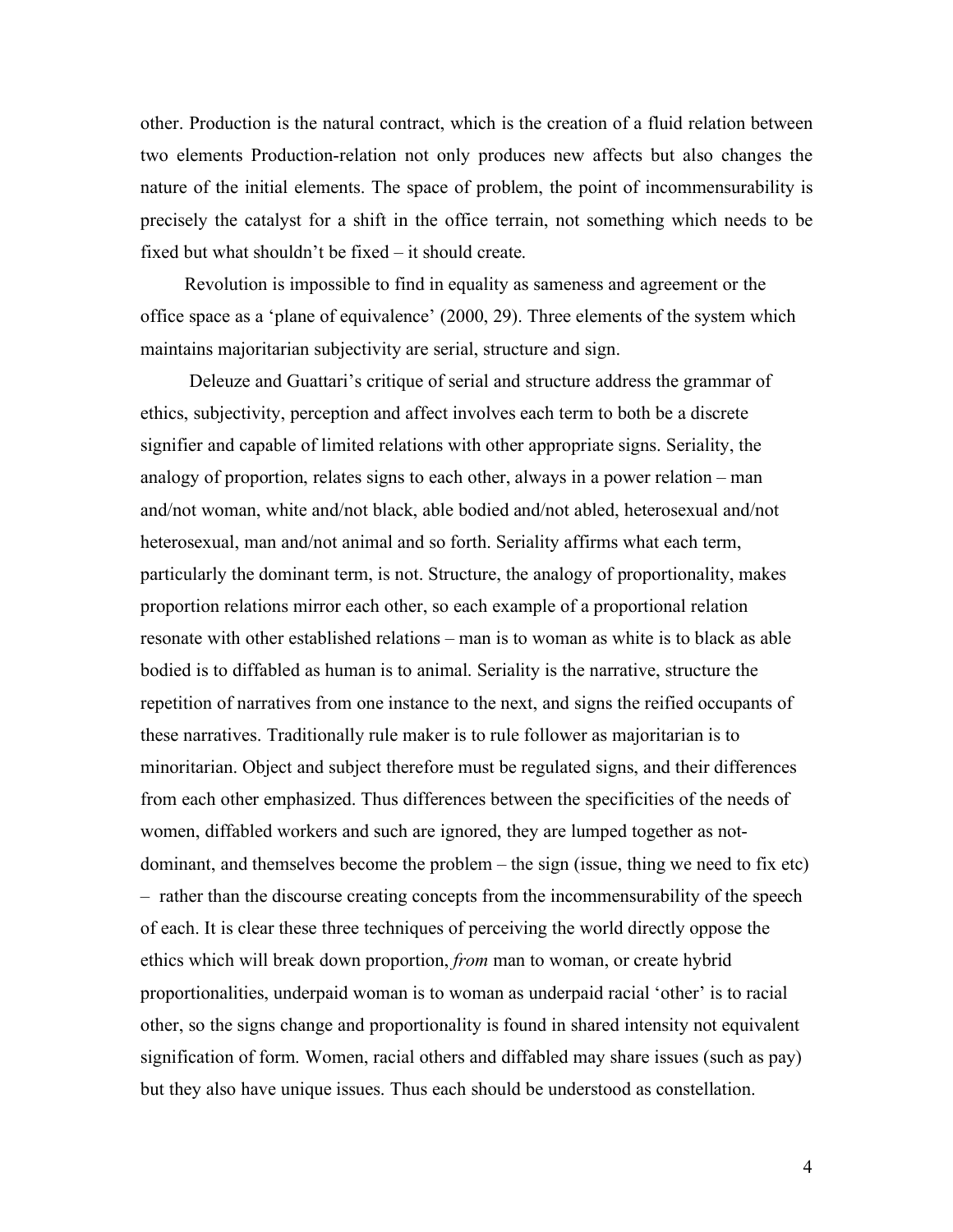other. Production is the natural contract, which is the creation of a fluid relation between two elements Production-relation not only produces new affects but also changes the nature of the initial elements. The space of problem, the point of incommensurability is precisely the catalyst for a shift in the office terrain, not something which needs to be fixed but what shouldn't be fixed – it should create.

Revolution is impossible to find in equality as sameness and agreement or the office space as a 'plane of equivalence' (2000, 29). Three elements of the system which maintains majoritarian subjectivity are serial, structure and sign.

 Deleuze and Guattari's critique of serial and structure address the grammar of ethics, subjectivity, perception and affect involves each term to both be a discrete signifier and capable of limited relations with other appropriate signs. Seriality, the analogy of proportion, relates signs to each other, always in a power relation – man and/not woman, white and/not black, able bodied and/not abled, heterosexual and/not heterosexual, man and/not animal and so forth. Seriality affirms what each term, particularly the dominant term, is not. Structure, the analogy of proportionality, makes proportion relations mirror each other, so each example of a proportional relation resonate with other established relations – man is to woman as white is to black as able bodied is to diffabled as human is to animal. Seriality is the narrative, structure the repetition of narratives from one instance to the next, and signs the reified occupants of these narratives. Traditionally rule maker is to rule follower as majoritarian is to minoritarian. Object and subject therefore must be regulated signs, and their differences from each other emphasized. Thus differences between the specificities of the needs of women, diffabled workers and such are ignored, they are lumped together as notdominant, and themselves become the problem – the sign (issue, thing we need to fix etc) – rather than the discourse creating concepts from the incommensurability of the speech of each. It is clear these three techniques of perceiving the world directly oppose the ethics which will break down proportion, *from* man to woman, or create hybrid proportionalities, underpaid woman is to woman as underpaid racial 'other' is to racial other, so the signs change and proportionality is found in shared intensity not equivalent signification of form. Women, racial others and diffabled may share issues (such as pay) but they also have unique issues. Thus each should be understood as constellation.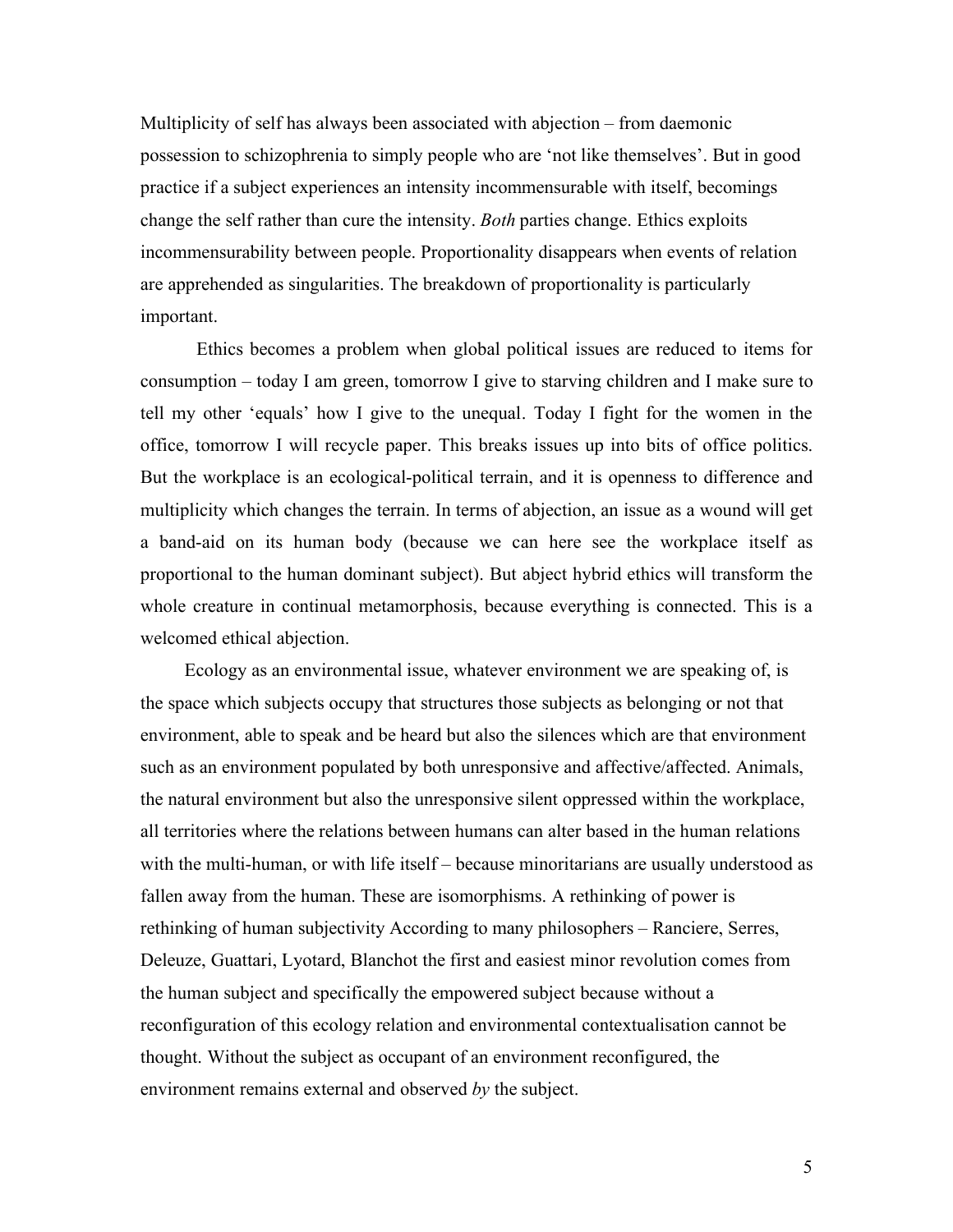Multiplicity of self has always been associated with abjection – from daemonic possession to schizophrenia to simply people who are 'not like themselves'. But in good practice if a subject experiences an intensity incommensurable with itself, becomings change the self rather than cure the intensity. *Both* parties change. Ethics exploits incommensurability between people. Proportionality disappears when events of relation are apprehended as singularities. The breakdown of proportionality is particularly important.

Ethics becomes a problem when global political issues are reduced to items for consumption – today I am green, tomorrow I give to starving children and I make sure to tell my other 'equals' how I give to the unequal. Today I fight for the women in the office, tomorrow I will recycle paper. This breaks issues up into bits of office politics. But the workplace is an ecological-political terrain, and it is openness to difference and multiplicity which changes the terrain. In terms of abjection, an issue as a wound will get a band-aid on its human body (because we can here see the workplace itself as proportional to the human dominant subject). But abject hybrid ethics will transform the whole creature in continual metamorphosis, because everything is connected. This is a welcomed ethical abjection.

Ecology as an environmental issue, whatever environment we are speaking of, is the space which subjects occupy that structures those subjects as belonging or not that environment, able to speak and be heard but also the silences which are that environment such as an environment populated by both unresponsive and affective/affected. Animals, the natural environment but also the unresponsive silent oppressed within the workplace, all territories where the relations between humans can alter based in the human relations with the multi-human, or with life itself – because minoritarians are usually understood as fallen away from the human. These are isomorphisms. A rethinking of power is rethinking of human subjectivity According to many philosophers – Ranciere, Serres, Deleuze, Guattari, Lyotard, Blanchot the first and easiest minor revolution comes from the human subject and specifically the empowered subject because without a reconfiguration of this ecology relation and environmental contextualisation cannot be thought. Without the subject as occupant of an environment reconfigured, the environment remains external and observed *by* the subject.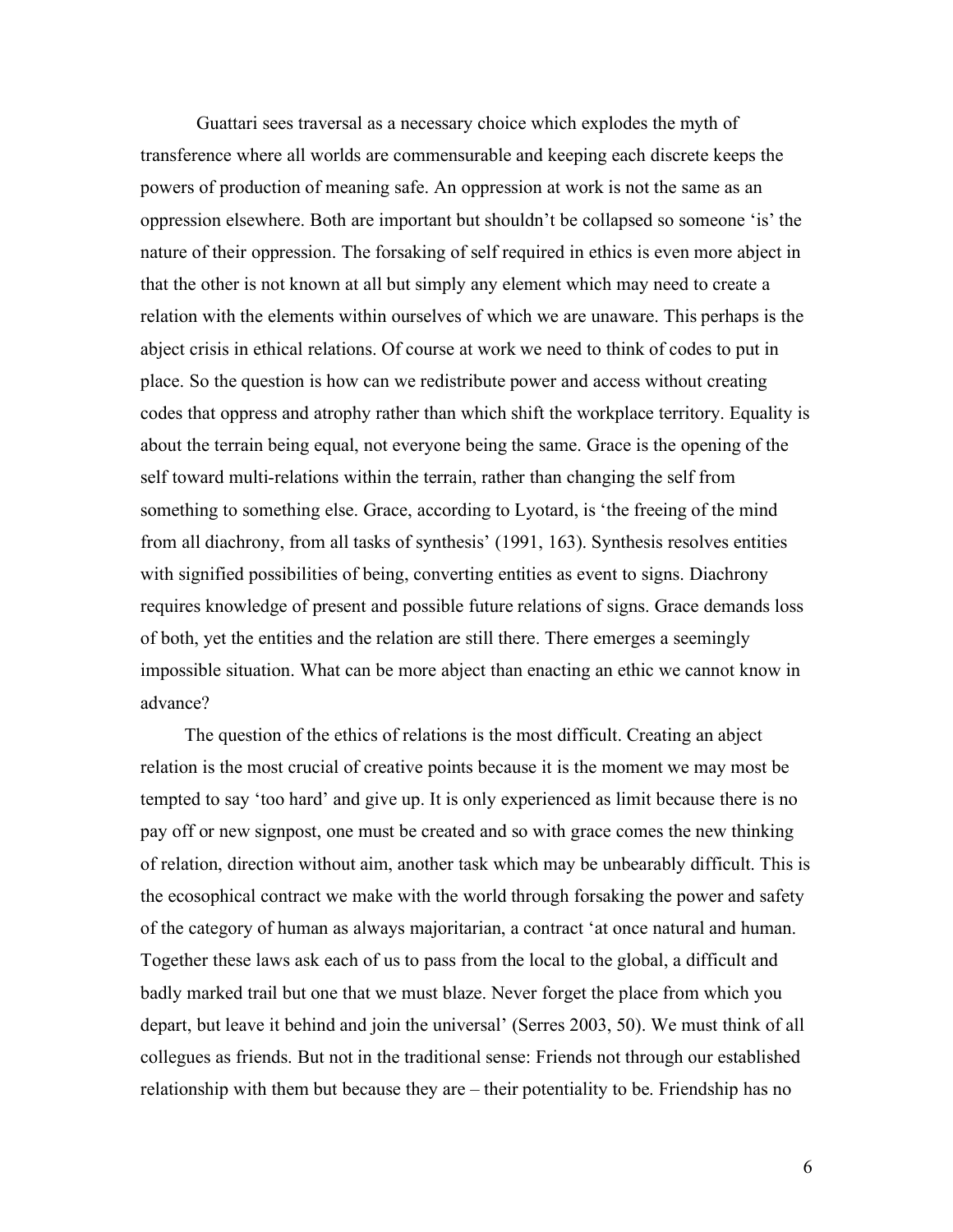Guattari sees traversal as a necessary choice which explodes the myth of transference where all worlds are commensurable and keeping each discrete keeps the powers of production of meaning safe. An oppression at work is not the same as an oppression elsewhere. Both are important but shouldn't be collapsed so someone 'is' the nature of their oppression. The forsaking of self required in ethics is even more abject in that the other is not known at all but simply any element which may need to create a relation with the elements within ourselves of which we are unaware. This perhaps is the abject crisis in ethical relations. Of course at work we need to think of codes to put in place. So the question is how can we redistribute power and access without creating codes that oppress and atrophy rather than which shift the workplace territory. Equality is about the terrain being equal, not everyone being the same. Grace is the opening of the self toward multi-relations within the terrain, rather than changing the self from something to something else. Grace, according to Lyotard, is 'the freeing of the mind from all diachrony, from all tasks of synthesis' (1991, 163). Synthesis resolves entities with signified possibilities of being, converting entities as event to signs. Diachrony requires knowledge of present and possible future relations of signs. Grace demands loss of both, yet the entities and the relation are still there. There emerges a seemingly impossible situation. What can be more abject than enacting an ethic we cannot know in advance?

The question of the ethics of relations is the most difficult. Creating an abject relation is the most crucial of creative points because it is the moment we may most be tempted to say 'too hard' and give up. It is only experienced as limit because there is no pay off or new signpost, one must be created and so with grace comes the new thinking of relation, direction without aim, another task which may be unbearably difficult. This is the ecosophical contract we make with the world through forsaking the power and safety of the category of human as always majoritarian, a contract 'at once natural and human. Together these laws ask each of us to pass from the local to the global, a difficult and badly marked trail but one that we must blaze. Never forget the place from which you depart, but leave it behind and join the universal' (Serres 2003, 50). We must think of all collegues as friends. But not in the traditional sense: Friends not through our established relationship with them but because they are – their potentiality to be. Friendship has no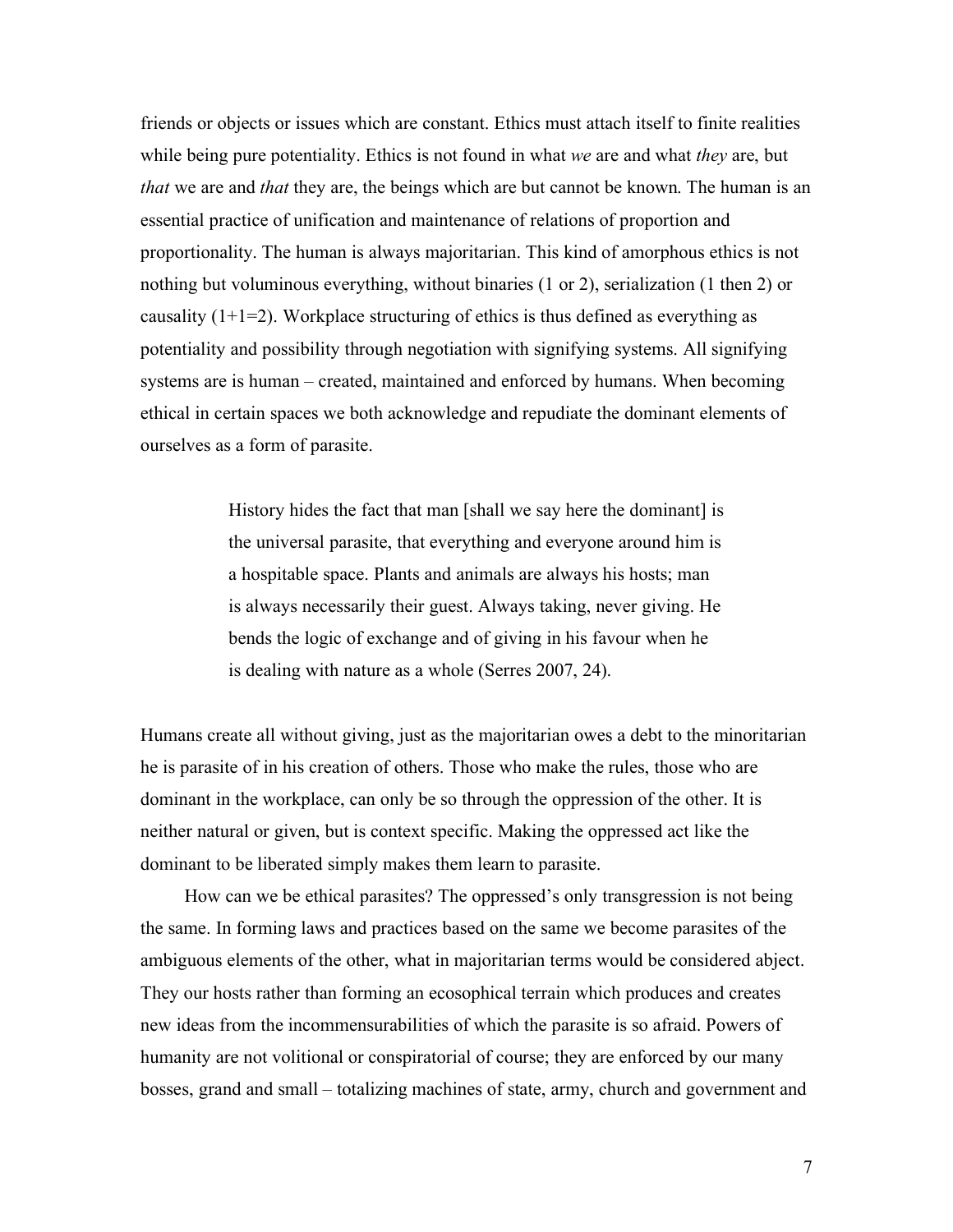friends or objects or issues which are constant. Ethics must attach itself to finite realities while being pure potentiality. Ethics is not found in what *we* are and what *they* are, but *that* we are and *that* they are, the beings which are but cannot be known. The human is an essential practice of unification and maintenance of relations of proportion and proportionality. The human is always majoritarian. This kind of amorphous ethics is not nothing but voluminous everything, without binaries (1 or 2), serialization (1 then 2) or causality  $(1+1=2)$ . Workplace structuring of ethics is thus defined as everything as potentiality and possibility through negotiation with signifying systems. All signifying systems are is human – created, maintained and enforced by humans. When becoming ethical in certain spaces we both acknowledge and repudiate the dominant elements of ourselves as a form of parasite.

> History hides the fact that man [shall we say here the dominant] is the universal parasite, that everything and everyone around him is a hospitable space. Plants and animals are always his hosts; man is always necessarily their guest. Always taking, never giving. He bends the logic of exchange and of giving in his favour when he is dealing with nature as a whole (Serres 2007, 24).

Humans create all without giving, just as the majoritarian owes a debt to the minoritarian he is parasite of in his creation of others. Those who make the rules, those who are dominant in the workplace, can only be so through the oppression of the other. It is neither natural or given, but is context specific. Making the oppressed act like the dominant to be liberated simply makes them learn to parasite.

How can we be ethical parasites? The oppressed's only transgression is not being the same. In forming laws and practices based on the same we become parasites of the ambiguous elements of the other, what in majoritarian terms would be considered abject. They our hosts rather than forming an ecosophical terrain which produces and creates new ideas from the incommensurabilities of which the parasite is so afraid. Powers of humanity are not volitional or conspiratorial of course; they are enforced by our many bosses, grand and small – totalizing machines of state, army, church and government and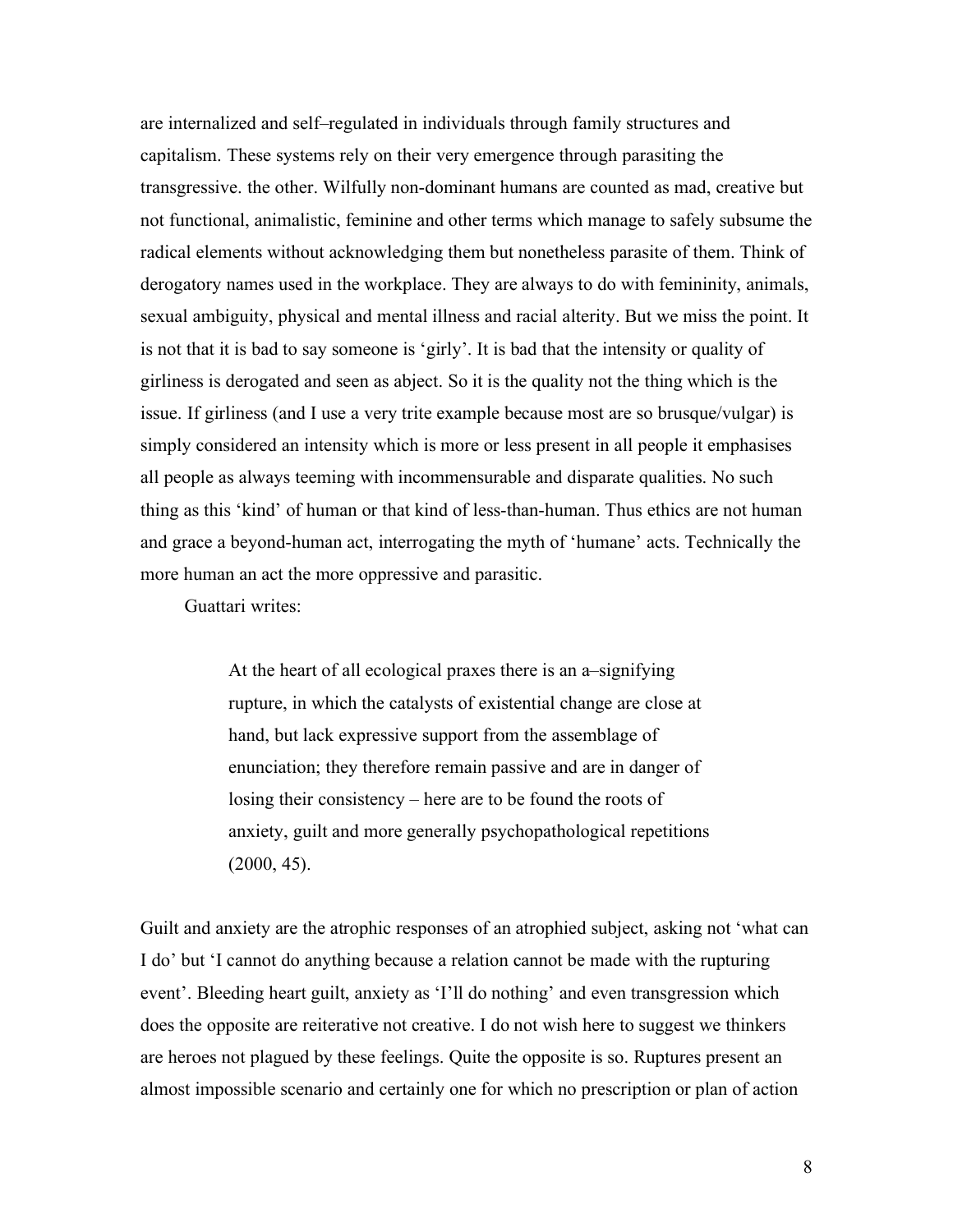are internalized and self–regulated in individuals through family structures and capitalism. These systems rely on their very emergence through parasiting the transgressive. the other. Wilfully non-dominant humans are counted as mad, creative but not functional, animalistic, feminine and other terms which manage to safely subsume the radical elements without acknowledging them but nonetheless parasite of them. Think of derogatory names used in the workplace. They are always to do with femininity, animals, sexual ambiguity, physical and mental illness and racial alterity. But we miss the point. It is not that it is bad to say someone is 'girly'. It is bad that the intensity or quality of girliness is derogated and seen as abject. So it is the quality not the thing which is the issue. If girliness (and I use a very trite example because most are so brusque/vulgar) is simply considered an intensity which is more or less present in all people it emphasises all people as always teeming with incommensurable and disparate qualities. No such thing as this 'kind' of human or that kind of less-than-human. Thus ethics are not human and grace a beyond-human act, interrogating the myth of 'humane' acts. Technically the more human an act the more oppressive and parasitic.

Guattari writes:

At the heart of all ecological praxes there is an a–signifying rupture, in which the catalysts of existential change are close at hand, but lack expressive support from the assemblage of enunciation; they therefore remain passive and are in danger of losing their consistency – here are to be found the roots of anxiety, guilt and more generally psychopathological repetitions (2000, 45).

Guilt and anxiety are the atrophic responses of an atrophied subject, asking not 'what can I do' but 'I cannot do anything because a relation cannot be made with the rupturing event'. Bleeding heart guilt, anxiety as 'I'll do nothing' and even transgression which does the opposite are reiterative not creative. I do not wish here to suggest we thinkers are heroes not plagued by these feelings. Quite the opposite is so. Ruptures present an almost impossible scenario and certainly one for which no prescription or plan of action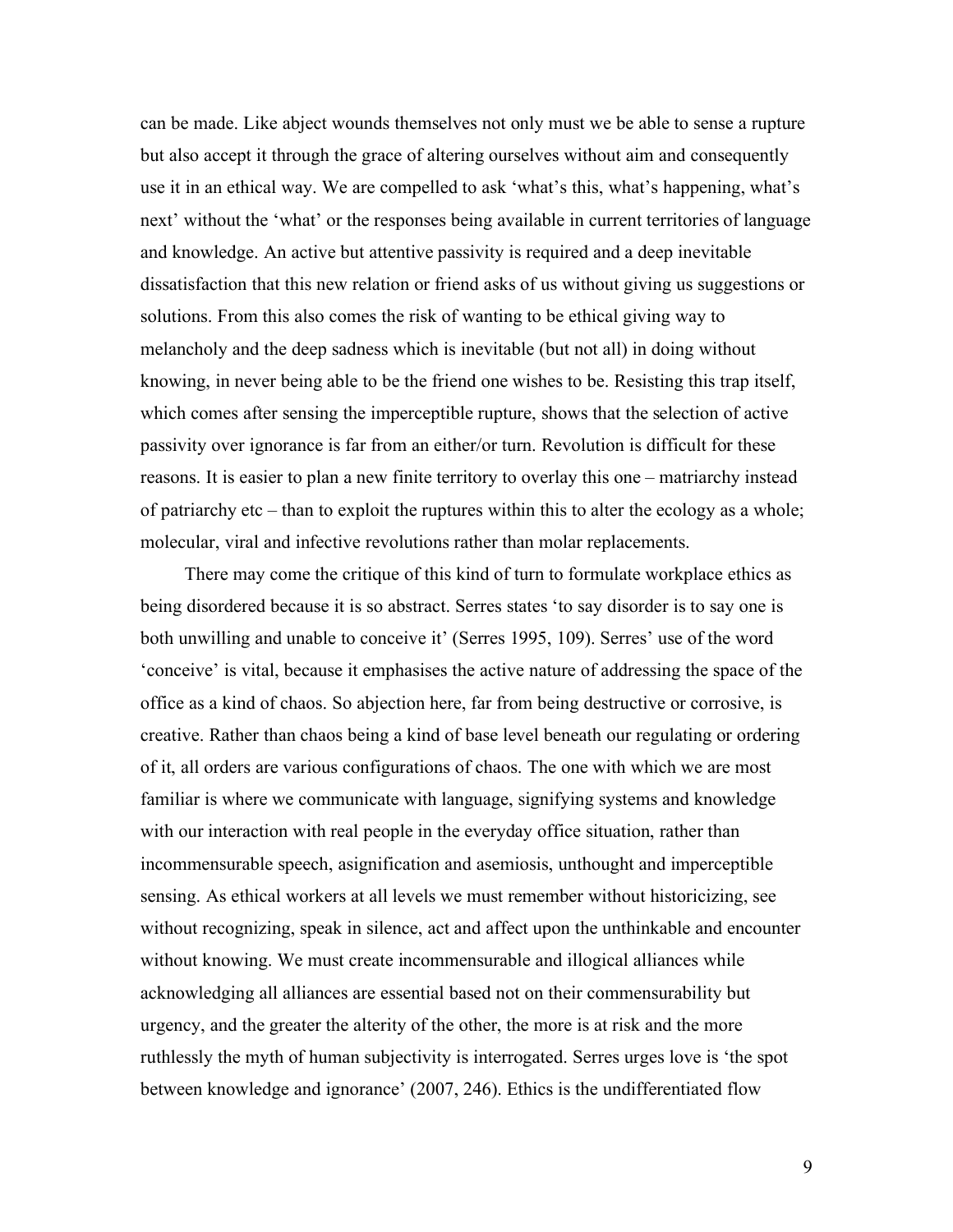can be made. Like abject wounds themselves not only must we be able to sense a rupture but also accept it through the grace of altering ourselves without aim and consequently use it in an ethical way. We are compelled to ask 'what's this, what's happening, what's next' without the 'what' or the responses being available in current territories of language and knowledge. An active but attentive passivity is required and a deep inevitable dissatisfaction that this new relation or friend asks of us without giving us suggestions or solutions. From this also comes the risk of wanting to be ethical giving way to melancholy and the deep sadness which is inevitable (but not all) in doing without knowing, in never being able to be the friend one wishes to be. Resisting this trap itself, which comes after sensing the imperceptible rupture, shows that the selection of active passivity over ignorance is far from an either/or turn. Revolution is difficult for these reasons. It is easier to plan a new finite territory to overlay this one – matriarchy instead of patriarchy etc – than to exploit the ruptures within this to alter the ecology as a whole; molecular, viral and infective revolutions rather than molar replacements.

There may come the critique of this kind of turn to formulate workplace ethics as being disordered because it is so abstract. Serres states 'to say disorder is to say one is both unwilling and unable to conceive it' (Serres 1995, 109). Serres' use of the word 'conceive' is vital, because it emphasises the active nature of addressing the space of the office as a kind of chaos. So abjection here, far from being destructive or corrosive, is creative. Rather than chaos being a kind of base level beneath our regulating or ordering of it, all orders are various configurations of chaos. The one with which we are most familiar is where we communicate with language, signifying systems and knowledge with our interaction with real people in the everyday office situation, rather than incommensurable speech, asignification and asemiosis, unthought and imperceptible sensing. As ethical workers at all levels we must remember without historicizing, see without recognizing, speak in silence, act and affect upon the unthinkable and encounter without knowing. We must create incommensurable and illogical alliances while acknowledging all alliances are essential based not on their commensurability but urgency, and the greater the alterity of the other, the more is at risk and the more ruthlessly the myth of human subjectivity is interrogated. Serres urges love is 'the spot between knowledge and ignorance' (2007, 246). Ethics is the undifferentiated flow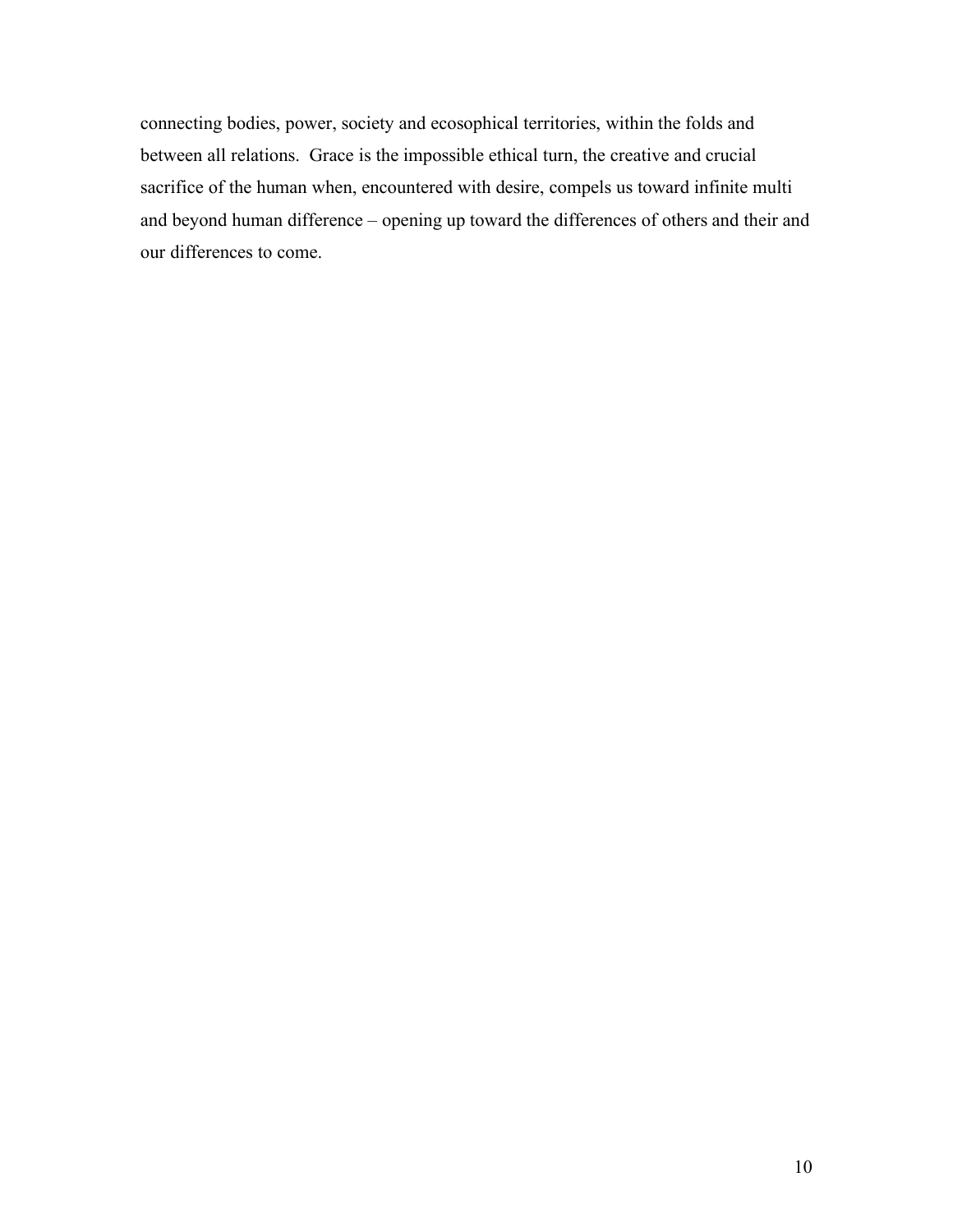connecting bodies, power, society and ecosophical territories, within the folds and between all relations. Grace is the impossible ethical turn, the creative and crucial sacrifice of the human when, encountered with desire, compels us toward infinite multi and beyond human difference – opening up toward the differences of others and their and our differences to come.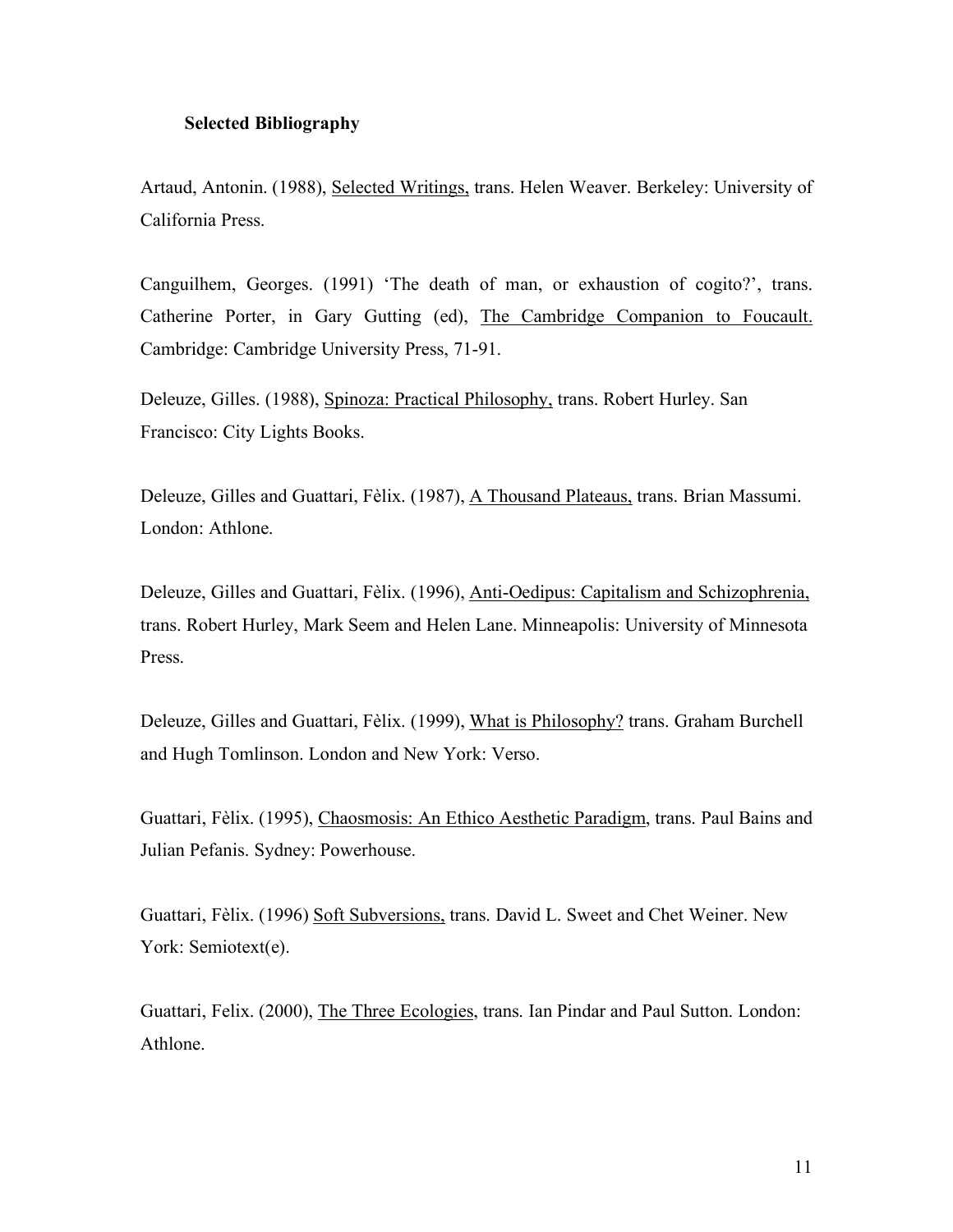## **Selected Bibliography**

Artaud, Antonin. (1988), Selected Writings, trans. Helen Weaver. Berkeley: University of California Press.

Canguilhem, Georges. (1991) 'The death of man, or exhaustion of cogito?', trans. Catherine Porter, in Gary Gutting (ed), The Cambridge Companion to Foucault. Cambridge: Cambridge University Press, 71-91.

Deleuze, Gilles. (1988), Spinoza: Practical Philosophy, trans. Robert Hurley. San Francisco: City Lights Books.

Deleuze, Gilles and Guattari, Fèlix. (1987), A Thousand Plateaus, trans. Brian Massumi. London: Athlone.

Deleuze, Gilles and Guattari, Fèlix. (1996), Anti-Oedipus: Capitalism and Schizophrenia, trans. Robert Hurley, Mark Seem and Helen Lane. Minneapolis: University of Minnesota Press.

Deleuze, Gilles and Guattari, Fèlix. (1999), What is Philosophy? trans. Graham Burchell and Hugh Tomlinson. London and New York: Verso.

Guattari, Fèlix. (1995), Chaosmosis: An Ethico Aesthetic Paradigm, trans. Paul Bains and Julian Pefanis. Sydney: Powerhouse.

Guattari, Fèlix. (1996) Soft Subversions, trans. David L. Sweet and Chet Weiner. New York: Semiotext(e).

Guattari, Felix. (2000), The Three Ecologies, trans. Ian Pindar and Paul Sutton. London: Athlone.